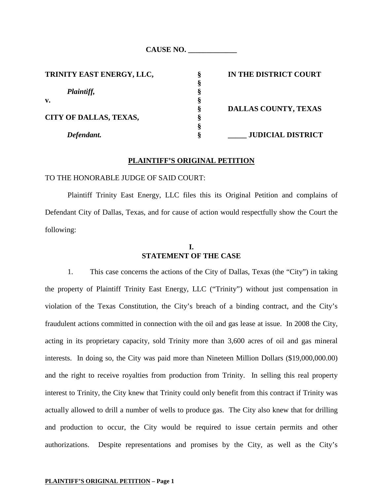| <b>CAUSE NO.</b> |  |
|------------------|--|
|                  |  |

| TRINITY EAST ENERGY, LLC,     |   | IN THE DISTRICT COURT       |
|-------------------------------|---|-----------------------------|
|                               |   |                             |
| Plaintiff,                    |   |                             |
| v.                            |   |                             |
|                               | Ò | <b>DALLAS COUNTY, TEXAS</b> |
| <b>CITY OF DALLAS, TEXAS,</b> |   |                             |
|                               |   |                             |
| Defendant.                    |   | <b>JUDICIAL DISTRICT</b>    |

### **PLAINTIFF'S ORIGINAL PETITION**

#### TO THE HONORABLE JUDGE OF SAID COURT:

Plaintiff Trinity East Energy, LLC files this its Original Petition and complains of Defendant City of Dallas, Texas, and for cause of action would respectfully show the Court the following:

# **I. STATEMENT OF THE CASE**

1. This case concerns the actions of the City of Dallas, Texas (the "City") in taking the property of Plaintiff Trinity East Energy, LLC ("Trinity") without just compensation in violation of the Texas Constitution, the City's breach of a binding contract, and the City's fraudulent actions committed in connection with the oil and gas lease at issue. In 2008 the City, acting in its proprietary capacity, sold Trinity more than 3,600 acres of oil and gas mineral interests. In doing so, the City was paid more than Nineteen Million Dollars (\$19,000,000.00) and the right to receive royalties from production from Trinity. In selling this real property interest to Trinity, the City knew that Trinity could only benefit from this contract if Trinity was actually allowed to drill a number of wells to produce gas. The City also knew that for drilling and production to occur, the City would be required to issue certain permits and other authorizations. Despite representations and promises by the City, as well as the City's

#### **PLAINTIFF'S ORIGINAL PETITION – Page 1**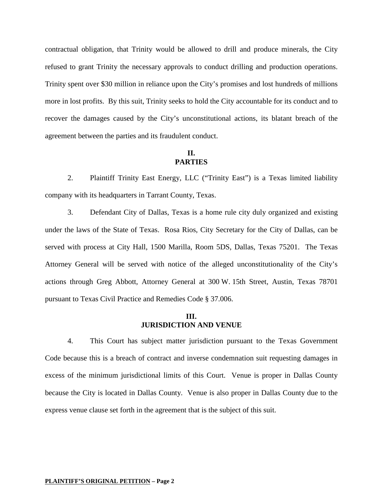contractual obligation, that Trinity would be allowed to drill and produce minerals, the City refused to grant Trinity the necessary approvals to conduct drilling and production operations. Trinity spent over \$30 million in reliance upon the City's promises and lost hundreds of millions more in lost profits. By this suit, Trinity seeks to hold the City accountable for its conduct and to recover the damages caused by the City's unconstitutional actions, its blatant breach of the agreement between the parties and its fraudulent conduct.

### **II. PARTIES**

2. Plaintiff Trinity East Energy, LLC ("Trinity East") is a Texas limited liability company with its headquarters in Tarrant County, Texas.

3. Defendant City of Dallas, Texas is a home rule city duly organized and existing under the laws of the State of Texas. Rosa Rios, City Secretary for the City of Dallas, can be served with process at City Hall, 1500 Marilla, Room 5DS, Dallas, Texas 75201. The Texas Attorney General will be served with notice of the alleged unconstitutionality of the City's actions through Greg Abbott, Attorney General at 300 W. 15th Street, Austin, Texas 78701 pursuant to Texas Civil Practice and Remedies Code § 37.006.

### **III. JURISDICTION AND VENUE**

4. This Court has subject matter jurisdiction pursuant to the Texas Government Code because this is a breach of contract and inverse condemnation suit requesting damages in excess of the minimum jurisdictional limits of this Court. Venue is proper in Dallas County because the City is located in Dallas County. Venue is also proper in Dallas County due to the express venue clause set forth in the agreement that is the subject of this suit.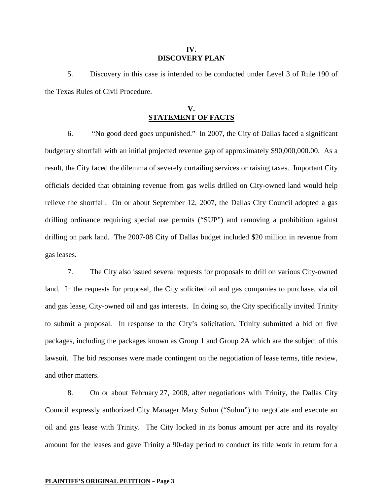#### **IV. DISCOVERY PLAN**

5. Discovery in this case is intended to be conducted under Level 3 of Rule 190 of the Texas Rules of Civil Procedure.

## **V. STATEMENT OF FACTS**

6. "No good deed goes unpunished." In 2007, the City of Dallas faced a significant budgetary shortfall with an initial projected revenue gap of approximately \$90,000,000.00. As a result, the City faced the dilemma of severely curtailing services or raising taxes. Important City officials decided that obtaining revenue from gas wells drilled on City-owned land would help relieve the shortfall. On or about September 12, 2007, the Dallas City Council adopted a gas drilling ordinance requiring special use permits ("SUP") and removing a prohibition against drilling on park land. The 2007-08 City of Dallas budget included \$20 million in revenue from gas leases.

7. The City also issued several requests for proposals to drill on various City-owned land. In the requests for proposal, the City solicited oil and gas companies to purchase, via oil and gas lease, City-owned oil and gas interests. In doing so, the City specifically invited Trinity to submit a proposal. In response to the City's solicitation, Trinity submitted a bid on five packages, including the packages known as Group 1 and Group 2A which are the subject of this lawsuit. The bid responses were made contingent on the negotiation of lease terms, title review, and other matters.

8. On or about February 27, 2008, after negotiations with Trinity, the Dallas City Council expressly authorized City Manager Mary Suhm ("Suhm") to negotiate and execute an oil and gas lease with Trinity. The City locked in its bonus amount per acre and its royalty amount for the leases and gave Trinity a 90-day period to conduct its title work in return for a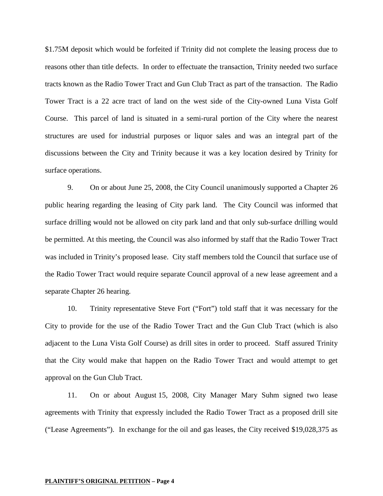\$1.75M deposit which would be forfeited if Trinity did not complete the leasing process due to reasons other than title defects. In order to effectuate the transaction, Trinity needed two surface tracts known as the Radio Tower Tract and Gun Club Tract as part of the transaction. The Radio Tower Tract is a 22 acre tract of land on the west side of the City-owned Luna Vista Golf Course. This parcel of land is situated in a semi-rural portion of the City where the nearest structures are used for industrial purposes or liquor sales and was an integral part of the discussions between the City and Trinity because it was a key location desired by Trinity for surface operations.

9. On or about June 25, 2008, the City Council unanimously supported a Chapter 26 public hearing regarding the leasing of City park land. The City Council was informed that surface drilling would not be allowed on city park land and that only sub-surface drilling would be permitted. At this meeting, the Council was also informed by staff that the Radio Tower Tract was included in Trinity's proposed lease. City staff members told the Council that surface use of the Radio Tower Tract would require separate Council approval of a new lease agreement and a separate Chapter 26 hearing.

10. Trinity representative Steve Fort ("Fort") told staff that it was necessary for the City to provide for the use of the Radio Tower Tract and the Gun Club Tract (which is also adjacent to the Luna Vista Golf Course) as drill sites in order to proceed. Staff assured Trinity that the City would make that happen on the Radio Tower Tract and would attempt to get approval on the Gun Club Tract.

11. On or about August 15, 2008, City Manager Mary Suhm signed two lease agreements with Trinity that expressly included the Radio Tower Tract as a proposed drill site ("Lease Agreements"). In exchange for the oil and gas leases, the City received \$19,028,375 as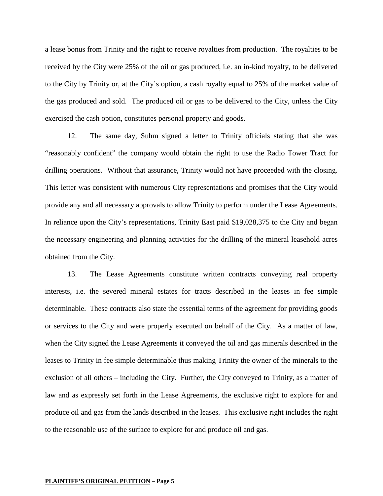a lease bonus from Trinity and the right to receive royalties from production. The royalties to be received by the City were 25% of the oil or gas produced, i.e. an in-kind royalty, to be delivered to the City by Trinity or, at the City's option, a cash royalty equal to 25% of the market value of the gas produced and sold. The produced oil or gas to be delivered to the City, unless the City exercised the cash option, constitutes personal property and goods.

12. The same day, Suhm signed a letter to Trinity officials stating that she was "reasonably confident" the company would obtain the right to use the Radio Tower Tract for drilling operations. Without that assurance, Trinity would not have proceeded with the closing. This letter was consistent with numerous City representations and promises that the City would provide any and all necessary approvals to allow Trinity to perform under the Lease Agreements. In reliance upon the City's representations, Trinity East paid \$19,028,375 to the City and began the necessary engineering and planning activities for the drilling of the mineral leasehold acres obtained from the City.

13. The Lease Agreements constitute written contracts conveying real property interests, i.e. the severed mineral estates for tracts described in the leases in fee simple determinable. These contracts also state the essential terms of the agreement for providing goods or services to the City and were properly executed on behalf of the City. As a matter of law, when the City signed the Lease Agreements it conveyed the oil and gas minerals described in the leases to Trinity in fee simple determinable thus making Trinity the owner of the minerals to the exclusion of all others – including the City. Further, the City conveyed to Trinity, as a matter of law and as expressly set forth in the Lease Agreements, the exclusive right to explore for and produce oil and gas from the lands described in the leases. This exclusive right includes the right to the reasonable use of the surface to explore for and produce oil and gas.

#### **PLAINTIFF'S ORIGINAL PETITION – Page 5**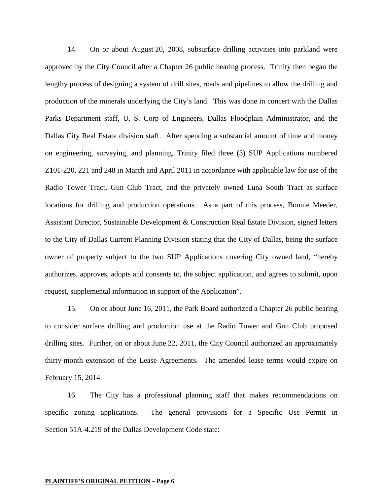14. On or about August 20, 2008, subsurface drilling activities into parkland were approved by the City Council after a Chapter 26 public hearing process. Trinity then began the lengthy process of designing a system of drill sites, roads and pipelines to allow the drilling and production of the minerals underlying the City's land. This was done in concert with the Dallas Parks Department staff, U. S. Corp of Engineers, Dallas Floodplain Administrator, and the Dallas City Real Estate division staff. After spending a substantial amount of time and money on engineering, surveying, and planning, Trinity filed three (3) SUP Applications numbered Z101-220, 221 and 248 in March and April 2011 in accordance with applicable law for use of the Radio Tower Tract, Gun Club Tract, and the privately owned Luna South Tract as surface locations for drilling and production operations. As a part of this process, Bonnie Meeder, Assistant Director, Sustainable Development & Construction Real Estate Division, signed letters to the City of Dallas Current Planning Division stating that the City of Dallas, being the surface owner of property subject to the two SUP Applications covering City owned land, "hereby authorizes, approves, adopts and consents to, the subject application, and agrees to submit, upon request, supplemental information in support of the Application".

15. On or about June 16, 2011, the Park Board authorized a Chapter 26 public hearing to consider surface drilling and production use at the Radio Tower and Gun Club proposed drilling sites. Further, on or about June 22, 2011, the City Council authorized an approximately thirty-month extension of the Lease Agreements. The amended lease terms would expire on February 15, 2014.

16. The City has a professional planning staff that makes recommendations on specific zoning applications. The general provisions for a Specific Use Permit in Section 51A-4.219 of the Dallas Development Code state: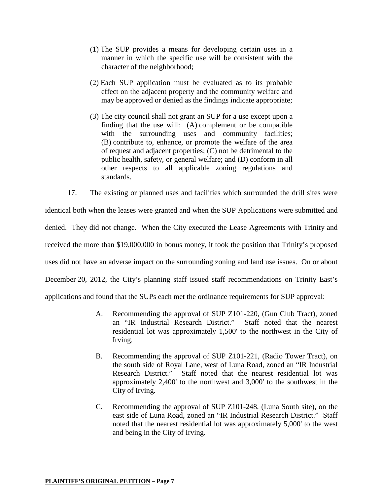- (1) The SUP provides a means for developing certain uses in a manner in which the specific use will be consistent with the character of the neighborhood;
- (2) Each SUP application must be evaluated as to its probable effect on the adjacent property and the community welfare and may be approved or denied as the findings indicate appropriate;
- (3) The city council shall not grant an SUP for a use except upon a finding that the use will: (A) complement or be compatible with the surrounding uses and community facilities; (B) contribute to, enhance, or promote the welfare of the area of request and adjacent properties; (C) not be detrimental to the public health, safety, or general welfare; and (D) conform in all other respects to all applicable zoning regulations and standards.

17. The existing or planned uses and facilities which surrounded the drill sites were identical both when the leases were granted and when the SUP Applications were submitted and denied. They did not change. When the City executed the Lease Agreements with Trinity and received the more than \$19,000,000 in bonus money, it took the position that Trinity's proposed uses did not have an adverse impact on the surrounding zoning and land use issues. On or about December 20, 2012, the City's planning staff issued staff recommendations on Trinity East's applications and found that the SUPs each met the ordinance requirements for SUP approval:

- A. Recommending the approval of SUP Z101-220, (Gun Club Tract), zoned an "IR Industrial Research District." Staff noted that the nearest residential lot was approximately 1,500' to the northwest in the City of Irving.
- B. Recommending the approval of SUP Z101-221, (Radio Tower Tract), on the south side of Royal Lane, west of Luna Road, zoned an "IR Industrial Research District." Staff noted that the nearest residential lot was approximately 2,400' to the northwest and 3,000' to the southwest in the City of Irving.
- C. Recommending the approval of SUP Z101-248, (Luna South site), on the east side of Luna Road, zoned an "IR Industrial Research District." Staff noted that the nearest residential lot was approximately 5,000' to the west and being in the City of Irving.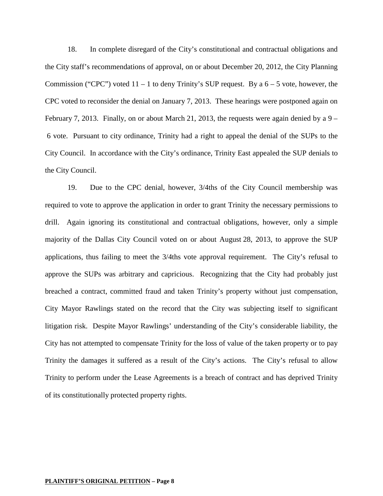18. In complete disregard of the City's constitutional and contractual obligations and the City staff's recommendations of approval, on or about December 20, 2012, the City Planning Commission ("CPC") voted  $11 - 1$  to deny Trinity's SUP request. By a  $6 - 5$  vote, however, the CPC voted to reconsider the denial on January 7, 2013. These hearings were postponed again on February 7, 2013. Finally, on or about March 21, 2013, the requests were again denied by a  $9-$ 6 vote. Pursuant to city ordinance, Trinity had a right to appeal the denial of the SUPs to the City Council. In accordance with the City's ordinance, Trinity East appealed the SUP denials to the City Council.

19. Due to the CPC denial, however, 3/4ths of the City Council membership was required to vote to approve the application in order to grant Trinity the necessary permissions to drill. Again ignoring its constitutional and contractual obligations, however, only a simple majority of the Dallas City Council voted on or about August 28, 2013, to approve the SUP applications, thus failing to meet the 3/4ths vote approval requirement. The City's refusal to approve the SUPs was arbitrary and capricious. Recognizing that the City had probably just breached a contract, committed fraud and taken Trinity's property without just compensation, City Mayor Rawlings stated on the record that the City was subjecting itself to significant litigation risk. Despite Mayor Rawlings' understanding of the City's considerable liability, the City has not attempted to compensate Trinity for the loss of value of the taken property or to pay Trinity the damages it suffered as a result of the City's actions. The City's refusal to allow Trinity to perform under the Lease Agreements is a breach of contract and has deprived Trinity of its constitutionally protected property rights.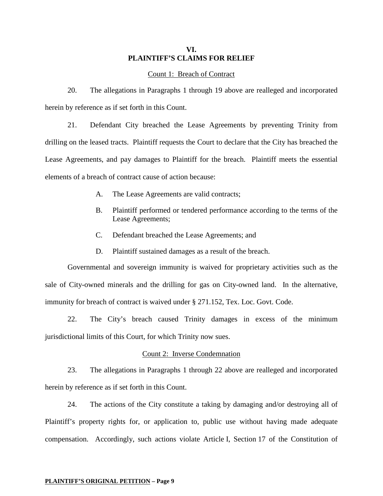## **VI. PLAINTIFF'S CLAIMS FOR RELIEF**

### Count 1: Breach of Contract

20. The allegations in Paragraphs 1 through 19 above are realleged and incorporated herein by reference as if set forth in this Count.

21. Defendant City breached the Lease Agreements by preventing Trinity from drilling on the leased tracts. Plaintiff requests the Court to declare that the City has breached the Lease Agreements, and pay damages to Plaintiff for the breach. Plaintiff meets the essential elements of a breach of contract cause of action because:

- A. The Lease Agreements are valid contracts;
- B. Plaintiff performed or tendered performance according to the terms of the Lease Agreements;
- C. Defendant breached the Lease Agreements; and
- D. Plaintiff sustained damages as a result of the breach.

Governmental and sovereign immunity is waived for proprietary activities such as the sale of City-owned minerals and the drilling for gas on City-owned land. In the alternative, immunity for breach of contract is waived under § 271.152, Tex. Loc. Govt. Code.

22. The City's breach caused Trinity damages in excess of the minimum jurisdictional limits of this Court, for which Trinity now sues.

#### Count 2: Inverse Condemnation

23. The allegations in Paragraphs 1 through 22 above are realleged and incorporated herein by reference as if set forth in this Count.

24. The actions of the City constitute a taking by damaging and/or destroying all of Plaintiff's property rights for, or application to, public use without having made adequate compensation. Accordingly, such actions violate Article I, Section 17 of the Constitution of

#### **PLAINTIFF'S ORIGINAL PETITION – Page 9**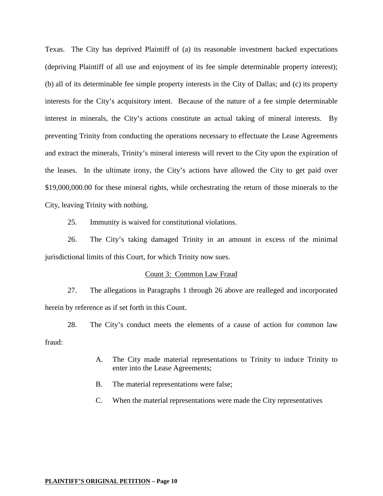Texas. The City has deprived Plaintiff of (a) its reasonable investment backed expectations (depriving Plaintiff of all use and enjoyment of its fee simple determinable property interest); (b) all of its determinable fee simple property interests in the City of Dallas; and (c) its property interests for the City's acquisitory intent. Because of the nature of a fee simple determinable interest in minerals, the City's actions constitute an actual taking of mineral interests. By preventing Trinity from conducting the operations necessary to effectuate the Lease Agreements and extract the minerals, Trinity's mineral interests will revert to the City upon the expiration of the leases. In the ultimate irony, the City's actions have allowed the City to get paid over \$19,000,000.00 for these mineral rights, while orchestrating the return of those minerals to the City, leaving Trinity with nothing.

25. Immunity is waived for constitutional violations.

26. The City's taking damaged Trinity in an amount in excess of the minimal jurisdictional limits of this Court, for which Trinity now sues.

### Count 3: Common Law Fraud

27. The allegations in Paragraphs 1 through 26 above are realleged and incorporated herein by reference as if set forth in this Count.

28. The City's conduct meets the elements of a cause of action for common law fraud:

- A. The City made material representations to Trinity to induce Trinity to enter into the Lease Agreements;
- B. The material representations were false;
- C. When the material representations were made the City representatives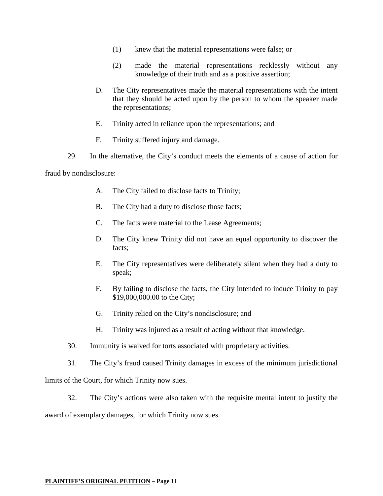- (1) knew that the material representations were false; or
- (2) made the material representations recklessly without any knowledge of their truth and as a positive assertion;
- D. The City representatives made the material representations with the intent that they should be acted upon by the person to whom the speaker made the representations;
- E. Trinity acted in reliance upon the representations; and
- F. Trinity suffered injury and damage.
- 29. In the alternative, the City's conduct meets the elements of a cause of action for

fraud by nondisclosure:

- A. The City failed to disclose facts to Trinity;
- B. The City had a duty to disclose those facts;
- C. The facts were material to the Lease Agreements;
- D. The City knew Trinity did not have an equal opportunity to discover the facts;
- E. The City representatives were deliberately silent when they had a duty to speak;
- F. By failing to disclose the facts, the City intended to induce Trinity to pay \$19,000,000.00 to the City;
- G. Trinity relied on the City's nondisclosure; and
- H. Trinity was injured as a result of acting without that knowledge.
- 30. Immunity is waived for torts associated with proprietary activities.
- 31. The City's fraud caused Trinity damages in excess of the minimum jurisdictional

limits of the Court, for which Trinity now sues.

32. The City's actions were also taken with the requisite mental intent to justify the

award of exemplary damages, for which Trinity now sues.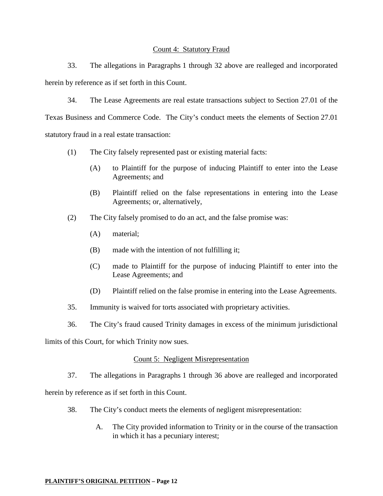### Count 4: Statutory Fraud

33. The allegations in Paragraphs 1 through 32 above are realleged and incorporated herein by reference as if set forth in this Count.

34. The Lease Agreements are real estate transactions subject to Section 27.01 of the

Texas Business and Commerce Code. The City's conduct meets the elements of Section 27.01 statutory fraud in a real estate transaction:

- (1) The City falsely represented past or existing material facts:
	- (A) to Plaintiff for the purpose of inducing Plaintiff to enter into the Lease Agreements; and
	- (B) Plaintiff relied on the false representations in entering into the Lease Agreements; or, alternatively,
- (2) The City falsely promised to do an act, and the false promise was:
	- (A) material;
	- (B) made with the intention of not fulfilling it;
	- (C) made to Plaintiff for the purpose of inducing Plaintiff to enter into the Lease Agreements; and
	- (D) Plaintiff relied on the false promise in entering into the Lease Agreements.
- 35. Immunity is waived for torts associated with proprietary activities.
- 36. The City's fraud caused Trinity damages in excess of the minimum jurisdictional

limits of this Court, for which Trinity now sues.

## Count 5: Negligent Misrepresentation

37. The allegations in Paragraphs 1 through 36 above are realleged and incorporated

herein by reference as if set forth in this Count.

- 38. The City's conduct meets the elements of negligent misrepresentation:
	- A. The City provided information to Trinity or in the course of the transaction in which it has a pecuniary interest;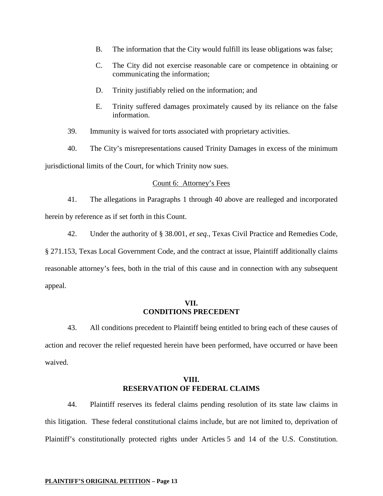- B. The information that the City would fulfill its lease obligations was false;
- C. The City did not exercise reasonable care or competence in obtaining or communicating the information;
- D. Trinity justifiably relied on the information; and
- E. Trinity suffered damages proximately caused by its reliance on the false information.
- 39. Immunity is waived for torts associated with proprietary activities.
- 40. The City's misrepresentations caused Trinity Damages in excess of the minimum jurisdictional limits of the Court, for which Trinity now sues.

### Count 6: Attorney's Fees

41. The allegations in Paragraphs 1 through 40 above are realleged and incorporated herein by reference as if set forth in this Count.

42. Under the authority of § 38.001, *et seq.*, Texas Civil Practice and Remedies Code,

§ 271.153, Texas Local Government Code, and the contract at issue, Plaintiff additionally claims reasonable attorney's fees, both in the trial of this cause and in connection with any subsequent appeal.

### **VII. CONDITIONS PRECEDENT**

43. All conditions precedent to Plaintiff being entitled to bring each of these causes of action and recover the relief requested herein have been performed, have occurred or have been waived.

## **VIII. RESERVATION OF FEDERAL CLAIMS**

44. Plaintiff reserves its federal claims pending resolution of its state law claims in this litigation. These federal constitutional claims include, but are not limited to, deprivation of Plaintiff's constitutionally protected rights under Articles 5 and 14 of the U.S. Constitution.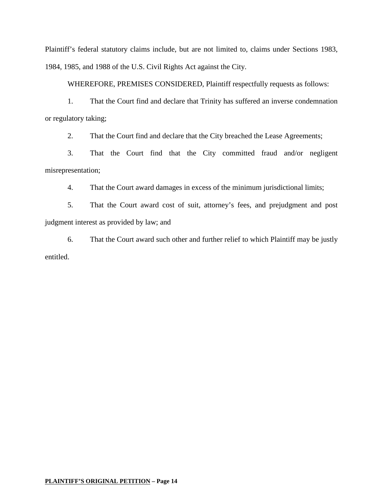Plaintiff's federal statutory claims include, but are not limited to, claims under Sections 1983, 1984, 1985, and 1988 of the U.S. Civil Rights Act against the City.

WHEREFORE, PREMISES CONSIDERED, Plaintiff respectfully requests as follows:

1. That the Court find and declare that Trinity has suffered an inverse condemnation or regulatory taking;

2. That the Court find and declare that the City breached the Lease Agreements;

3. That the Court find that the City committed fraud and/or negligent misrepresentation;

4. That the Court award damages in excess of the minimum jurisdictional limits;

5. That the Court award cost of suit, attorney's fees, and prejudgment and post judgment interest as provided by law; and

6. That the Court award such other and further relief to which Plaintiff may be justly entitled.